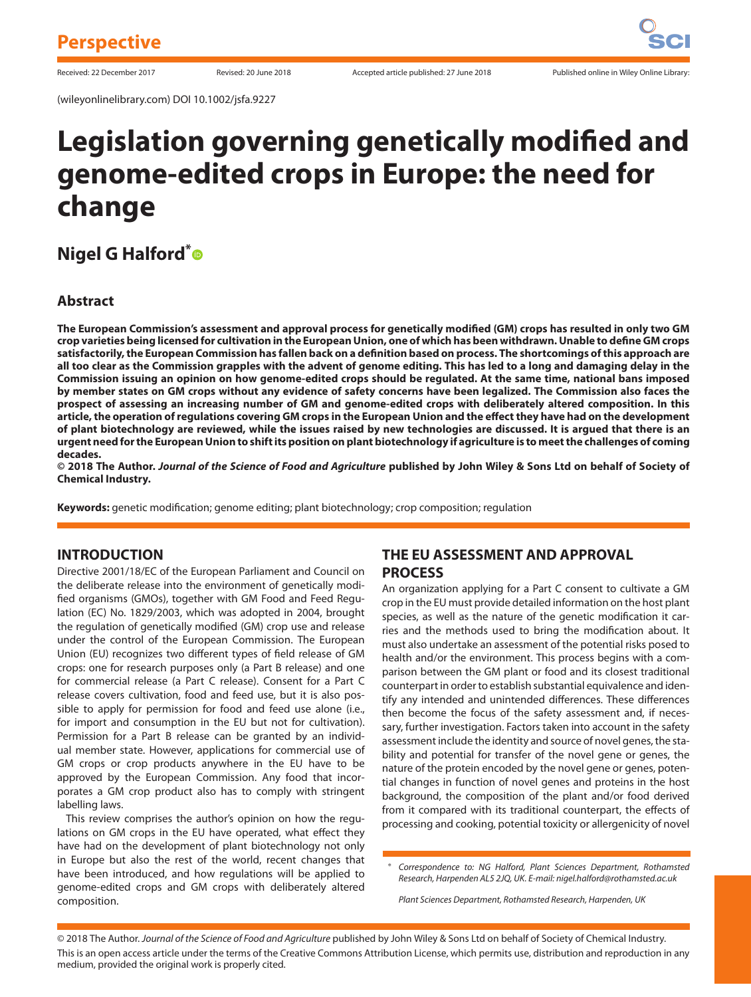Received: 22 December 2017 **Revised: 20 June 2018** Accepted article published: 27 June 2018 Published online in Wiley Online Library:

# **Legislation governing genetically modified and genome-edited crops in Europe: the need for change**

## **Nigel G Halford[\\*](http://orcid.org/0000-0001-6488-2530)**

## **Abstract**

**The European Commission's assessment and approval process for genetically modified (GM) crops has resulted in only two GM crop varieties being licensed for cultivation in the European Union, one of which has been withdrawn. Unable to define GM crops satisfactorily, the European Commission has fallen back on a definition based on process. The shortcomings of this approach are all too clear as the Commission grapples with the advent of genome editing. This has led to a long and damaging delay in the Commission issuing an opinion on how genome-edited crops should be regulated. At the same time, national bans imposed by member states on GM crops without any evidence of safety concerns have been legalized. The Commission also faces the prospect of assessing an increasing number of GM and genome-edited crops with deliberately altered composition. In this article, the operation of regulations covering GM crops in the European Union and the effect they have had on the development of plant biotechnology are reviewed, while the issues raised by new technologies are discussed. It is argued that there is an urgent need for the European Union to shift its position on plant biotechnology if agriculture is to meet the challenges of coming decades.**

**© 2018 The Author.** *Journal of the Science of Food and Agriculture* **published by John Wiley & Sons Ltd on behalf of Society of Chemical Industry.**

**Keywords:** genetic modification; genome editing; plant biotechnology; crop composition; regulation

## **INTRODUCTION**

Directive 2001/18/EC of the European Parliament and Council on the deliberate release into the environment of genetically modified organisms (GMOs), together with GM Food and Feed Regulation (EC) No. 1829/2003, which was adopted in 2004, brought the regulation of genetically modified (GM) crop use and release under the control of the European Commission. The European Union (EU) recognizes two different types of field release of GM crops: one for research purposes only (a Part B release) and one for commercial release (a Part C release). Consent for a Part C release covers cultivation, food and feed use, but it is also possible to apply for permission for food and feed use alone (i.e., for import and consumption in the EU but not for cultivation). Permission for a Part B release can be granted by an individual member state. However, applications for commercial use of GM crops or crop products anywhere in the EU have to be approved by the European Commission. Any food that incorporates a GM crop product also has to comply with stringent labelling laws.

This review comprises the author's opinion on how the regulations on GM crops in the EU have operated, what effect they have had on the development of plant biotechnology not only in Europe but also the rest of the world, recent changes that have been introduced, and how regulations will be applied to genome-edited crops and GM crops with deliberately altered composition.

## **THE EU ASSESSMENT AND APPROVAL PROCESS**

An organization applying for a Part C consent to cultivate a GM crop in the EU must provide detailed information on the host plant species, as well as the nature of the genetic modification it carries and the methods used to bring the modification about. It must also undertake an assessment of the potential risks posed to health and/or the environment. This process begins with a comparison between the GM plant or food and its closest traditional counterpart in order to establish substantial equivalence and identify any intended and unintended differences. These differences then become the focus of the safety assessment and, if necessary, further investigation. Factors taken into account in the safety assessment include the identity and source of novel genes, the stability and potential for transfer of the novel gene or genes, the nature of the protein encoded by the novel gene or genes, potential changes in function of novel genes and proteins in the host background, the composition of the plant and/or food derived from it compared with its traditional counterpart, the effects of processing and cooking, potential toxicity or allergenicity of novel

Correspondence to: NG Halford, Plant Sciences Department, Rothamsted Research, Harpenden AL5 2JQ, UK. E-mail: [nigel.halford@rothamsted.ac.uk](mailto:nigel.halford@rothamsted.ac.uk)

Plant Sciences Department, Rothamsted Research, Harpenden, UK

© 2018 The Author. Journal of the Science of Food and Agriculture published by John Wiley & Sons Ltd on behalf of Society of Chemical Industry. This is an open access article under the terms of the Creative Commons Attribution License, which permits use, distribution and reproduction in any medium, provided the original work is properly cited.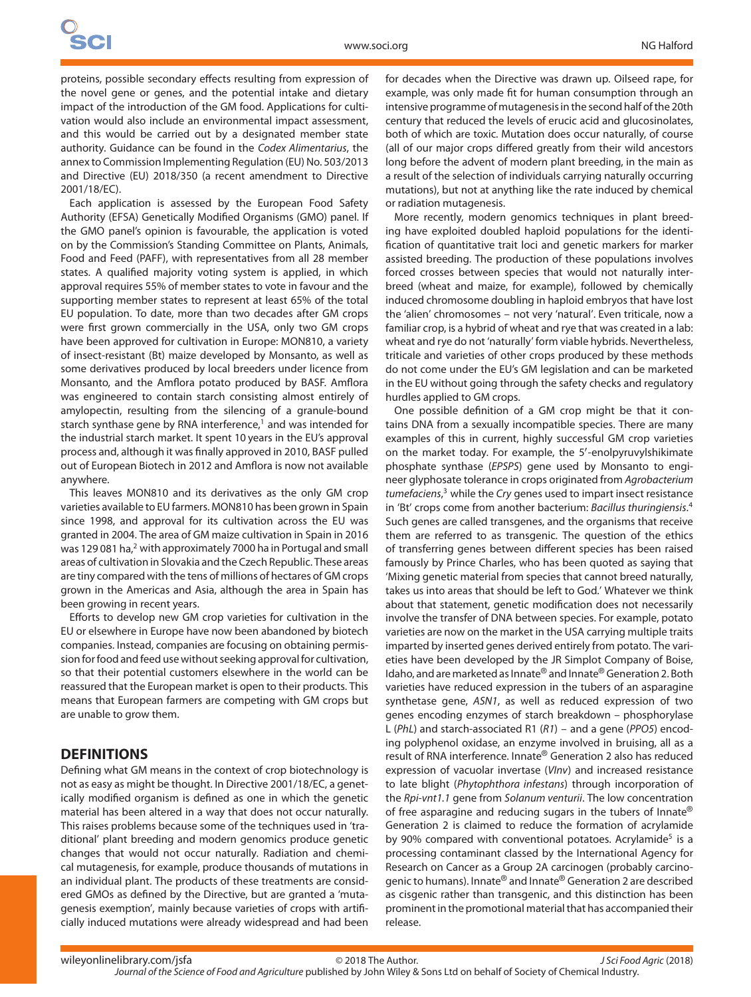proteins, possible secondary effects resulting from expression of the novel gene or genes, and the potential intake and dietary impact of the introduction of the GM food. Applications for cultivation would also include an environmental impact assessment, and this would be carried out by a designated member state authority. Guidance can be found in the Codex Alimentarius, the annex to Commission Implementing Regulation (EU) No. 503/2013 and Directive (EU) 2018/350 (a recent amendment to Directive 2001/18/EC).

Each application is assessed by the European Food Safety Authority (EFSA) Genetically Modified Organisms (GMO) panel. If the GMO panel's opinion is favourable, the application is voted on by the Commission's Standing Committee on Plants, Animals, Food and Feed (PAFF), with representatives from all 28 member states. A qualified majority voting system is applied, in which approval requires 55% of member states to vote in favour and the supporting member states to represent at least 65% of the total EU population. To date, more than two decades after GM crops were first grown commercially in the USA, only two GM crops have been approved for cultivation in Europe: MON810, a variety of insect-resistant (Bt) maize developed by Monsanto, as well as some derivatives produced by local breeders under licence from Monsanto, and the Amflora potato produced by BASF. Amflora was engineered to contain starch consisting almost entirely of amylopectin, resulting from the silencing of a granule-bound starch synthase gene by RNA interference, $1$  and was intended for the industrial starch market. It spent 10 years in the EU's approval process and, although it was finally approved in 2010, BASF pulled out of European Biotech in 2012 and Amflora is now not available anywhere.

This leaves MON810 and its derivatives as the only GM crop varieties available to EU farmers. MON810 has been grown in Spain since 1998, and approval for its cultivation across the EU was granted in 2004. The area of GM maize cultivation in Spain in 2016 was 129 081 ha,2 with approximately 7000 ha in Portugal and small areas of cultivation in Slovakia and the Czech Republic. These areas are tiny compared with the tens of millions of hectares of GM crops grown in the Americas and Asia, although the area in Spain has been growing in recent years.

Efforts to develop new GM crop varieties for cultivation in the EU or elsewhere in Europe have now been abandoned by biotech companies. Instead, companies are focusing on obtaining permission for food and feed use without seeking approval for cultivation, so that their potential customers elsewhere in the world can be reassured that the European market is open to their products. This means that European farmers are competing with GM crops but are unable to grow them.

#### **DEFINITIONS**

Defining what GM means in the context of crop biotechnology is not as easy as might be thought. In Directive 2001/18/EC, a genetically modified organism is defined as one in which the genetic material has been altered in a way that does not occur naturally. This raises problems because some of the techniques used in 'traditional' plant breeding and modern genomics produce genetic changes that would not occur naturally. Radiation and chemical mutagenesis, for example, produce thousands of mutations in an individual plant. The products of these treatments are considered GMOs as defined by the Directive, but are granted a 'mutagenesis exemption', mainly because varieties of crops with artificially induced mutations were already widespread and had been

for decades when the Directive was drawn up. Oilseed rape, for example, was only made fit for human consumption through an intensive programme of mutagenesis in the second half of the 20th century that reduced the levels of erucic acid and glucosinolates, both of which are toxic. Mutation does occur naturally, of course (all of our major crops differed greatly from their wild ancestors long before the advent of modern plant breeding, in the main as a result of the selection of individuals carrying naturally occurring mutations), but not at anything like the rate induced by chemical or radiation mutagenesis.

More recently, modern genomics techniques in plant breeding have exploited doubled haploid populations for the identification of quantitative trait loci and genetic markers for marker assisted breeding. The production of these populations involves forced crosses between species that would not naturally interbreed (wheat and maize, for example), followed by chemically induced chromosome doubling in haploid embryos that have lost the 'alien' chromosomes – not very 'natural'. Even triticale, now a familiar crop, is a hybrid of wheat and rye that was created in a lab: wheat and rye do not 'naturally' form viable hybrids. Nevertheless, triticale and varieties of other crops produced by these methods do not come under the EU's GM legislation and can be marketed in the EU without going through the safety checks and regulatory hurdles applied to GM crops.

One possible definition of a GM crop might be that it contains DNA from a sexually incompatible species. There are many examples of this in current, highly successful GM crop varieties on the market today. For example, the 5′ -enolpyruvylshikimate phosphate synthase (EPSPS) gene used by Monsanto to engineer glyphosate tolerance in crops originated from Agrobacterium tumefaciens,<sup>3</sup> while the Cry genes used to impart insect resistance in 'Bt' crops come from another bacterium: Bacillus thuringiensis.<sup>4</sup> Such genes are called transgenes, and the organisms that receive them are referred to as transgenic. The question of the ethics of transferring genes between different species has been raised famously by Prince Charles, who has been quoted as saying that 'Mixing genetic material from species that cannot breed naturally, takes us into areas that should be left to God.' Whatever we think about that statement, genetic modification does not necessarily involve the transfer of DNA between species. For example, potato varieties are now on the market in the USA carrying multiple traits imparted by inserted genes derived entirely from potato. The varieties have been developed by the JR Simplot Company of Boise, Idaho, and are marketed as Innate® and Innate® Generation 2. Both varieties have reduced expression in the tubers of an asparagine synthetase gene, ASN1, as well as reduced expression of two genes encoding enzymes of starch breakdown – phosphorylase L (PhL) and starch-associated R1 (R1) – and a gene (PPO5) encoding polyphenol oxidase, an enzyme involved in bruising, all as a result of RNA interference. Innate® Generation 2 also has reduced expression of vacuolar invertase (VInv) and increased resistance to late blight (Phytophthora infestans) through incorporation of the Rpi-vnt1.1 gene from Solanum venturii. The low concentration of free asparagine and reducing sugars in the tubers of Innate® Generation 2 is claimed to reduce the formation of acrylamide by 90% compared with conventional potatoes. Acrylamide<sup>5</sup> is a processing contaminant classed by the International Agency for Research on Cancer as a Group 2A carcinogen (probably carcinogenic to humans). Innate® and Innate® Generation 2 are described as cisgenic rather than transgenic, and this distinction has been prominent in the promotional material that has accompanied their release.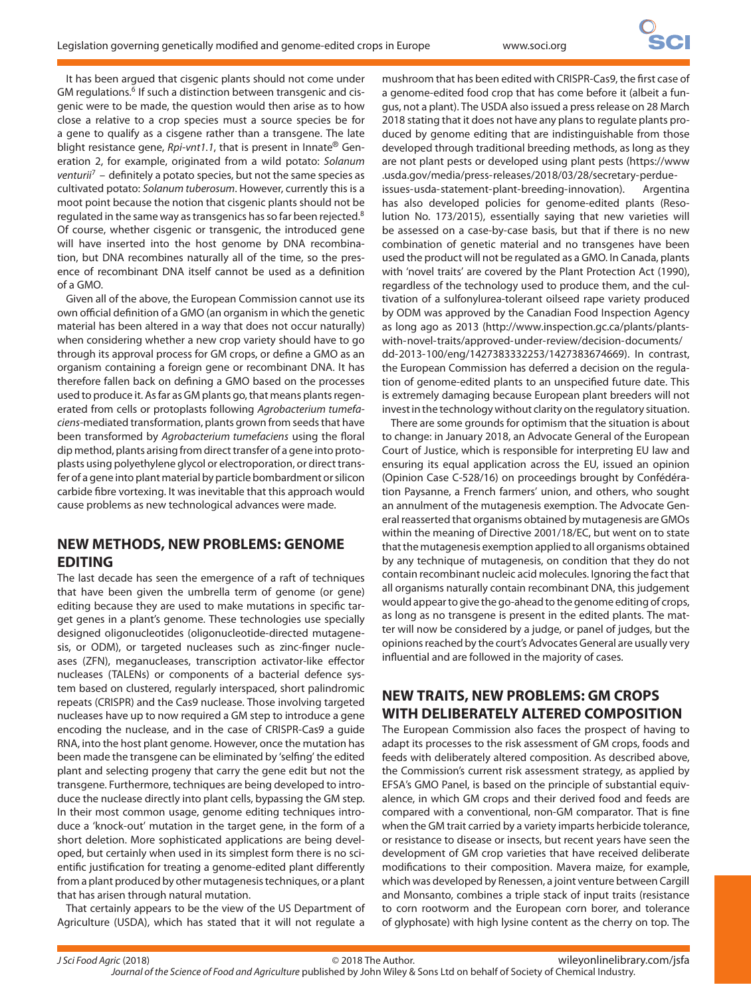It has been argued that cisgenic plants should not come under GM regulations.<sup>6</sup> If such a distinction between transgenic and cisgenic were to be made, the question would then arise as to how close a relative to a crop species must a source species be for a gene to qualify as a cisgene rather than a transgene. The late blight resistance gene,  $Rpi$ -vnt1.1, that is present in Innate<sup>®</sup> Generation 2, for example, originated from a wild potato: Solanum venturii<sup>7</sup> – definitely a potato species, but not the same species as cultivated potato: Solanum tuberosum. However, currently this is a moot point because the notion that cisgenic plants should not be regulated in the same way as transgenics has so far been rejected.<sup>8</sup> Of course, whether cisgenic or transgenic, the introduced gene will have inserted into the host genome by DNA recombination, but DNA recombines naturally all of the time, so the presence of recombinant DNA itself cannot be used as a definition of a GMO.

Given all of the above, the European Commission cannot use its own official definition of a GMO (an organism in which the genetic material has been altered in a way that does not occur naturally) when considering whether a new crop variety should have to go through its approval process for GM crops, or define a GMO as an organism containing a foreign gene or recombinant DNA. It has therefore fallen back on defining a GMO based on the processes used to produce it. As far as GM plants go, that means plants regenerated from cells or protoplasts following Agrobacterium tumefaciens-mediated transformation, plants grown from seeds that have been transformed by Agrobacterium tumefaciens using the floral dip method, plants arising from direct transfer of a gene into protoplasts using polyethylene glycol or electroporation, or direct transfer of a gene into plant material by particle bombardment or silicon carbide fibre vortexing. It was inevitable that this approach would cause problems as new technological advances were made.

## **NEW METHODS, NEW PROBLEMS: GENOME EDITING**

The last decade has seen the emergence of a raft of techniques that have been given the umbrella term of genome (or gene) editing because they are used to make mutations in specific target genes in a plant's genome. These technologies use specially designed oligonucleotides (oligonucleotide-directed mutagenesis, or ODM), or targeted nucleases such as zinc-finger nucleases (ZFN), meganucleases, transcription activator-like effector nucleases (TALENs) or components of a bacterial defence system based on clustered, regularly interspaced, short palindromic repeats (CRISPR) and the Cas9 nuclease. Those involving targeted nucleases have up to now required a GM step to introduce a gene encoding the nuclease, and in the case of CRISPR-Cas9 a guide RNA, into the host plant genome. However, once the mutation has been made the transgene can be eliminated by 'selfing' the edited plant and selecting progeny that carry the gene edit but not the transgene. Furthermore, techniques are being developed to introduce the nuclease directly into plant cells, bypassing the GM step. In their most common usage, genome editing techniques introduce a 'knock-out' mutation in the target gene, in the form of a short deletion. More sophisticated applications are being developed, but certainly when used in its simplest form there is no scientific justification for treating a genome-edited plant differently from a plant produced by other mutagenesis techniques, or a plant that has arisen through natural mutation.

That certainly appears to be the view of the US Department of Agriculture (USDA), which has stated that it will not regulate a

mushroom that has been edited with CRISPR-Cas9, the first case of a genome-edited food crop that has come before it (albeit a fungus, not a plant). The USDA also issued a press release on 28 March 2018 stating that it does not have any plans to regulate plants produced by genome editing that are indistinguishable from those developed through traditional breeding methods, as long as they are not plant pests or developed using plant pests [\(https://www](https://www.usda.gov/media/press-releases/2018/03/28/secretary-perdue-issues-usda-statement-plant-breeding-innovation) [.usda.gov/media/press-releases/2018/03/28/secretary-perdue](https://www.usda.gov/media/press-releases/2018/03/28/secretary-perdue-issues-usda-statement-plant-breeding-innovation)[issues-usda-statement-plant-breeding-innovation\)](https://www.usda.gov/media/press-releases/2018/03/28/secretary-perdue-issues-usda-statement-plant-breeding-innovation). Argentina has also developed policies for genome-edited plants (Resolution No. 173/2015), essentially saying that new varieties will be assessed on a case-by-case basis, but that if there is no new combination of genetic material and no transgenes have been used the product will not be regulated as a GMO. In Canada, plants with 'novel traits' are covered by the Plant Protection Act (1990), regardless of the technology used to produce them, and the cultivation of a sulfonylurea-tolerant oilseed rape variety produced by ODM was approved by the Canadian Food Inspection Agency as long ago as 2013 [\(http://www.inspection.gc.ca/plants/plants](http://www.inspection.gc.ca/plants/plants-with-novel-traits/approved-under-review/decision-documents/dd-2013-100/eng/1427383332253/1427383674669)[with-novel-traits/approved-under-review/decision-documents/](http://www.inspection.gc.ca/plants/plants-with-novel-traits/approved-under-review/decision-documents/dd-2013-100/eng/1427383332253/1427383674669) [dd-2013-100/eng/1427383332253/1427383674669\)](http://www.inspection.gc.ca/plants/plants-with-novel-traits/approved-under-review/decision-documents/dd-2013-100/eng/1427383332253/1427383674669). In contrast, the European Commission has deferred a decision on the regulation of genome-edited plants to an unspecified future date. This is extremely damaging because European plant breeders will not invest in the technology without clarity on the regulatory situation.

There are some grounds for optimism that the situation is about to change: in January 2018, an Advocate General of the European Court of Justice, which is responsible for interpreting EU law and ensuring its equal application across the EU, issued an opinion (Opinion Case C-528/16) on proceedings brought by Confédération Paysanne, a French farmers' union, and others, who sought an annulment of the mutagenesis exemption. The Advocate General reasserted that organisms obtained by mutagenesis are GMOs within the meaning of Directive 2001/18/EC, but went on to state that the mutagenesis exemption applied to all organisms obtained by any technique of mutagenesis, on condition that they do not contain recombinant nucleic acid molecules. Ignoring the fact that all organisms naturally contain recombinant DNA, this judgement would appear to give the go-ahead to the genome editing of crops, as long as no transgene is present in the edited plants. The matter will now be considered by a judge, or panel of judges, but the opinions reached by the court's Advocates General are usually very influential and are followed in the majority of cases.

## **NEW TRAITS, NEW PROBLEMS: GM CROPS WITH DELIBERATELY ALTERED COMPOSITION**

The European Commission also faces the prospect of having to adapt its processes to the risk assessment of GM crops, foods and feeds with deliberately altered composition. As described above, the Commission's current risk assessment strategy, as applied by EFSA's GMO Panel, is based on the principle of substantial equivalence, in which GM crops and their derived food and feeds are compared with a conventional, non-GM comparator. That is fine when the GM trait carried by a variety imparts herbicide tolerance, or resistance to disease or insects, but recent years have seen the development of GM crop varieties that have received deliberate modifications to their composition. Mavera maize, for example, which was developed by Renessen, a joint venture between Cargill and Monsanto, combines a triple stack of input traits (resistance to corn rootworm and the European corn borer, and tolerance of glyphosate) with high lysine content as the cherry on top. The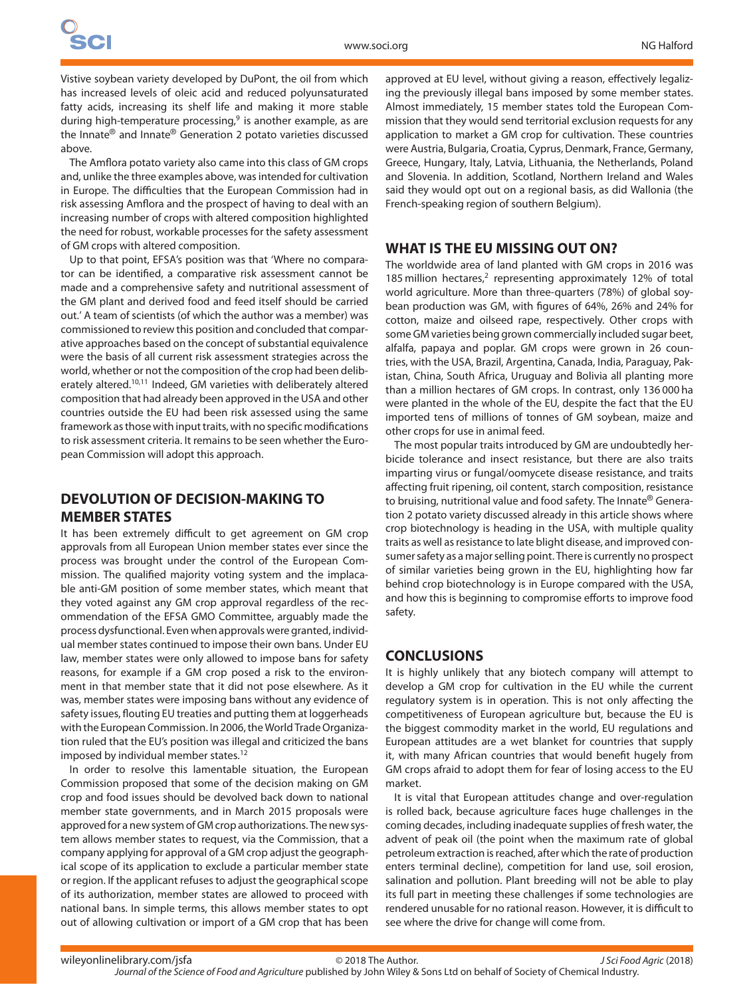Vistive soybean variety developed by DuPont, the oil from which has increased levels of oleic acid and reduced polyunsaturated fatty acids, increasing its shelf life and making it more stable during high-temperature processing, $9$  is another example, as are the Innate® and Innate® Generation 2 potato varieties discussed above.

The Amflora potato variety also came into this class of GM crops and, unlike the three examples above, was intended for cultivation in Europe. The difficulties that the European Commission had in risk assessing Amflora and the prospect of having to deal with an increasing number of crops with altered composition highlighted the need for robust, workable processes for the safety assessment of GM crops with altered composition.

Up to that point, EFSA's position was that 'Where no comparator can be identified, a comparative risk assessment cannot be made and a comprehensive safety and nutritional assessment of the GM plant and derived food and feed itself should be carried out.' A team of scientists (of which the author was a member) was commissioned to review this position and concluded that comparative approaches based on the concept of substantial equivalence were the basis of all current risk assessment strategies across the world, whether or not the composition of the crop had been deliberately altered.<sup>10,11</sup> Indeed, GM varieties with deliberately altered composition that had already been approved in the USA and other countries outside the EU had been risk assessed using the same framework as those with input traits, with no specific modifications to risk assessment criteria. It remains to be seen whether the European Commission will adopt this approach.

## **DEVOLUTION OF DECISION-MAKING TO MEMBER STATES**

It has been extremely difficult to get agreement on GM crop approvals from all European Union member states ever since the process was brought under the control of the European Commission. The qualified majority voting system and the implacable anti-GM position of some member states, which meant that they voted against any GM crop approval regardless of the recommendation of the EFSA GMO Committee, arguably made the process dysfunctional. Even when approvals were granted, individual member states continued to impose their own bans. Under EU law, member states were only allowed to impose bans for safety reasons, for example if a GM crop posed a risk to the environment in that member state that it did not pose elsewhere. As it was, member states were imposing bans without any evidence of safety issues, flouting EU treaties and putting them at loggerheads with the European Commission. In 2006, the World Trade Organization ruled that the EU's position was illegal and criticized the bans imposed by individual member states.<sup>12</sup>

In order to resolve this lamentable situation, the European Commission proposed that some of the decision making on GM crop and food issues should be devolved back down to national member state governments, and in March 2015 proposals were approved for a new system of GM crop authorizations. The new system allows member states to request, via the Commission, that a company applying for approval of a GM crop adjust the geographical scope of its application to exclude a particular member state or region. If the applicant refuses to adjust the geographical scope of its authorization, member states are allowed to proceed with national bans. In simple terms, this allows member states to opt out of allowing cultivation or import of a GM crop that has been

approved at EU level, without giving a reason, effectively legalizing the previously illegal bans imposed by some member states. Almost immediately, 15 member states told the European Commission that they would send territorial exclusion requests for any application to market a GM crop for cultivation. These countries were Austria, Bulgaria, Croatia, Cyprus, Denmark, France, Germany, Greece, Hungary, Italy, Latvia, Lithuania, the Netherlands, Poland and Slovenia. In addition, Scotland, Northern Ireland and Wales said they would opt out on a regional basis, as did Wallonia (the French-speaking region of southern Belgium).

#### **WHAT IS THE EU MISSING OUT ON?**

The worldwide area of land planted with GM crops in 2016 was 185 million hectares, $2$  representing approximately 12% of total world agriculture. More than three-quarters (78%) of global soybean production was GM, with figures of 64%, 26% and 24% for cotton, maize and oilseed rape, respectively. Other crops with some GM varieties being grown commercially included sugar beet, alfalfa, papaya and poplar. GM crops were grown in 26 countries, with the USA, Brazil, Argentina, Canada, India, Paraguay, Pakistan, China, South Africa, Uruguay and Bolivia all planting more than a million hectares of GM crops. In contrast, only 136 000 ha were planted in the whole of the EU, despite the fact that the EU imported tens of millions of tonnes of GM soybean, maize and other crops for use in animal feed.

The most popular traits introduced by GM are undoubtedly herbicide tolerance and insect resistance, but there are also traits imparting virus or fungal/oomycete disease resistance, and traits affecting fruit ripening, oil content, starch composition, resistance to bruising, nutritional value and food safety. The Innate® Generation 2 potato variety discussed already in this article shows where crop biotechnology is heading in the USA, with multiple quality traits as well as resistance to late blight disease, and improved consumer safety as a major selling point. There is currently no prospect of similar varieties being grown in the EU, highlighting how far behind crop biotechnology is in Europe compared with the USA, and how this is beginning to compromise efforts to improve food safety.

### **CONCLUSIONS**

It is highly unlikely that any biotech company will attempt to develop a GM crop for cultivation in the EU while the current regulatory system is in operation. This is not only affecting the competitiveness of European agriculture but, because the EU is the biggest commodity market in the world, EU regulations and European attitudes are a wet blanket for countries that supply it, with many African countries that would benefit hugely from GM crops afraid to adopt them for fear of losing access to the EU market.

It is vital that European attitudes change and over-regulation is rolled back, because agriculture faces huge challenges in the coming decades, including inadequate supplies of fresh water, the advent of peak oil (the point when the maximum rate of global petroleum extraction is reached, after which the rate of production enters terminal decline), competition for land use, soil erosion, salination and pollution. Plant breeding will not be able to play its full part in meeting these challenges if some technologies are rendered unusable for no rational reason. However, it is difficult to see where the drive for change will come from.